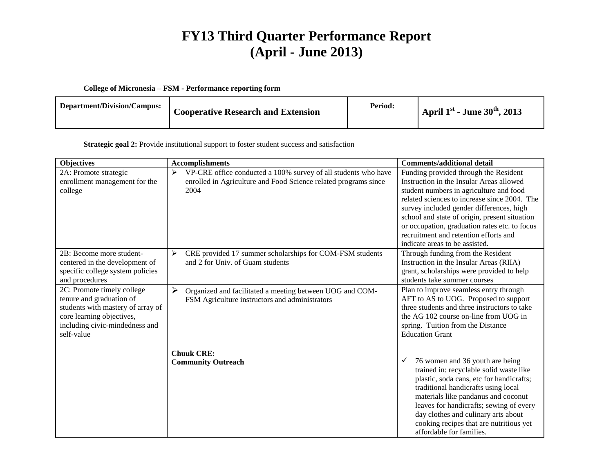# **FY13 Third Quarter Performance Report (April - June 2013)**

### **College of Micronesia – FSM - Performance reporting form**

| Department/Division/Campus:<br><b>Cooperative Research and Extension</b> | Period: | April $1^{\rm st}$ - June $30^{\rm th}$ , 2013 |
|--------------------------------------------------------------------------|---------|------------------------------------------------|
|--------------------------------------------------------------------------|---------|------------------------------------------------|

#### **Strategic goal 2:** Provide institutional support to foster student success and satisfaction

| <b>Objectives</b>                            | <b>Accomplishments</b>                                              | <b>Comments/additional detail</b>                                               |
|----------------------------------------------|---------------------------------------------------------------------|---------------------------------------------------------------------------------|
| 2A: Promote strategic                        | VP-CRE office conducted a 100% survey of all students who have<br>➤ | Funding provided through the Resident                                           |
| enrollment management for the                | enrolled in Agriculture and Food Science related programs since     | Instruction in the Insular Areas allowed                                        |
| college                                      | 2004                                                                | student numbers in agriculture and food                                         |
|                                              |                                                                     | related sciences to increase since 2004. The                                    |
|                                              |                                                                     | survey included gender differences, high                                        |
|                                              |                                                                     | school and state of origin, present situation                                   |
|                                              |                                                                     | or occupation, graduation rates etc. to focus                                   |
|                                              |                                                                     | recruitment and retention efforts and                                           |
|                                              |                                                                     | indicate areas to be assisted.                                                  |
| 2B: Become more student-                     | CRE provided 17 summer scholarships for COM-FSM students<br>➤       | Through funding from the Resident                                               |
| centered in the development of               | and 2 for Univ. of Guam students                                    | Instruction in the Insular Areas (RIIA)                                         |
| specific college system policies             |                                                                     | grant, scholarships were provided to help<br>students take summer courses       |
| and procedures<br>2C: Promote timely college |                                                                     |                                                                                 |
| tenure and graduation of                     | ➤<br>Organized and facilitated a meeting between UOG and COM-       | Plan to improve seamless entry through<br>AFT to AS to UOG. Proposed to support |
| students with mastery of array of            | FSM Agriculture instructors and administrators                      | three students and three instructors to take                                    |
| core learning objectives,                    |                                                                     | the AG 102 course on-line from UOG in                                           |
| including civic-mindedness and               |                                                                     | spring. Tuition from the Distance                                               |
| self-value                                   |                                                                     | <b>Education Grant</b>                                                          |
|                                              |                                                                     |                                                                                 |
|                                              | <b>Chuuk CRE:</b>                                                   |                                                                                 |
|                                              | <b>Community Outreach</b>                                           | 76 women and 36 youth are being<br>✓                                            |
|                                              |                                                                     | trained in: recyclable solid waste like                                         |
|                                              |                                                                     | plastic, soda cans, etc for handicrafts;                                        |
|                                              |                                                                     | traditional handicrafts using local                                             |
|                                              |                                                                     | materials like pandanus and coconut                                             |
|                                              |                                                                     | leaves for handicrafts; sewing of every                                         |
|                                              |                                                                     | day clothes and culinary arts about                                             |
|                                              |                                                                     | cooking recipes that are nutritious yet                                         |
|                                              |                                                                     | affordable for families.                                                        |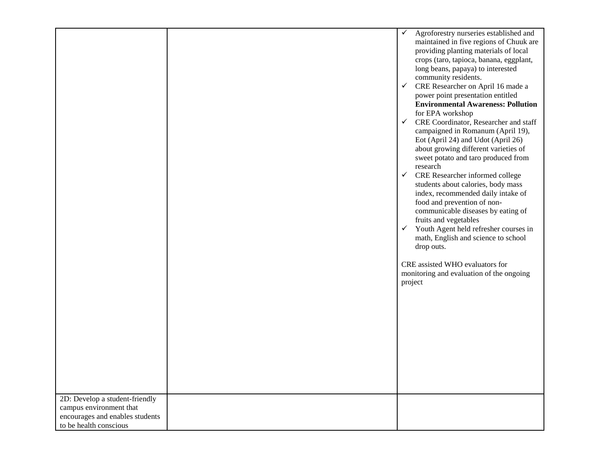|                                                           | $\checkmark$<br>Agroforestry nurseries established and<br>maintained in five regions of Chuuk are<br>providing planting materials of local<br>crops (taro, tapioca, banana, eggplant,<br>long beans, papaya) to interested<br>community residents.<br>CRE Researcher on April 16 made a<br>$\checkmark$<br>power point presentation entitled<br><b>Environmental Awareness: Pollution</b><br>for EPA workshop<br>$\checkmark$ CRE Coordinator, Researcher and staff<br>campaigned in Romanum (April 19),<br>Eot (April 24) and Udot (April 26)<br>about growing different varieties of<br>sweet potato and taro produced from<br>research<br>$\checkmark$ CRE Researcher informed college<br>students about calories, body mass<br>index, recommended daily intake of<br>food and prevention of non-<br>communicable diseases by eating of<br>fruits and vegetables<br>$\checkmark$<br>Youth Agent held refresher courses in<br>math, English and science to school<br>drop outs.<br>CRE assisted WHO evaluators for<br>monitoring and evaluation of the ongoing<br>project |
|-----------------------------------------------------------|-----------------------------------------------------------------------------------------------------------------------------------------------------------------------------------------------------------------------------------------------------------------------------------------------------------------------------------------------------------------------------------------------------------------------------------------------------------------------------------------------------------------------------------------------------------------------------------------------------------------------------------------------------------------------------------------------------------------------------------------------------------------------------------------------------------------------------------------------------------------------------------------------------------------------------------------------------------------------------------------------------------------------------------------------------------------------------|
|                                                           |                                                                                                                                                                                                                                                                                                                                                                                                                                                                                                                                                                                                                                                                                                                                                                                                                                                                                                                                                                                                                                                                             |
|                                                           |                                                                                                                                                                                                                                                                                                                                                                                                                                                                                                                                                                                                                                                                                                                                                                                                                                                                                                                                                                                                                                                                             |
|                                                           |                                                                                                                                                                                                                                                                                                                                                                                                                                                                                                                                                                                                                                                                                                                                                                                                                                                                                                                                                                                                                                                                             |
|                                                           |                                                                                                                                                                                                                                                                                                                                                                                                                                                                                                                                                                                                                                                                                                                                                                                                                                                                                                                                                                                                                                                                             |
| 2D: Develop a student-friendly                            |                                                                                                                                                                                                                                                                                                                                                                                                                                                                                                                                                                                                                                                                                                                                                                                                                                                                                                                                                                                                                                                                             |
| campus environment that                                   |                                                                                                                                                                                                                                                                                                                                                                                                                                                                                                                                                                                                                                                                                                                                                                                                                                                                                                                                                                                                                                                                             |
| encourages and enables students<br>to be health conscious |                                                                                                                                                                                                                                                                                                                                                                                                                                                                                                                                                                                                                                                                                                                                                                                                                                                                                                                                                                                                                                                                             |
|                                                           |                                                                                                                                                                                                                                                                                                                                                                                                                                                                                                                                                                                                                                                                                                                                                                                                                                                                                                                                                                                                                                                                             |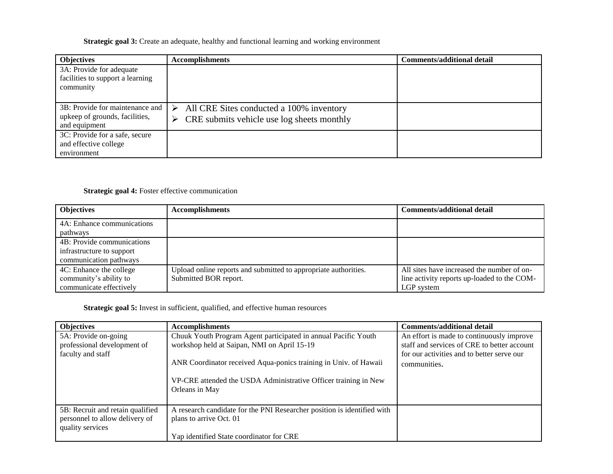## **Strategic goal 3:** Create an adequate, healthy and functional learning and working environment

| <b>Objectives</b>                                                                  | <b>Accomplishments</b>                                                                                       | <b>Comments/additional detail</b> |
|------------------------------------------------------------------------------------|--------------------------------------------------------------------------------------------------------------|-----------------------------------|
| 3A: Provide for adequate<br>facilities to support a learning<br>community          |                                                                                                              |                                   |
| 3B: Provide for maintenance and<br>upkeep of grounds, facilities,<br>and equipment | All CRE Sites conducted a 100% inventory<br>⋗<br>$\triangleright$ CRE submits vehicle use log sheets monthly |                                   |
| 3C: Provide for a safe, secure<br>and effective college<br>environment             |                                                                                                              |                                   |

## **Strategic goal 4:** Foster effective communication

| <b>Objectives</b>          | <b>Accomplishments</b>                                          | <b>Comments/additional detail</b>           |
|----------------------------|-----------------------------------------------------------------|---------------------------------------------|
| 4A: Enhance communications |                                                                 |                                             |
| pathways                   |                                                                 |                                             |
| 4B: Provide communications |                                                                 |                                             |
| infrastructure to support  |                                                                 |                                             |
| communication pathways     |                                                                 |                                             |
| 4C: Enhance the college    | Upload online reports and submitted to appropriate authorities. | All sites have increased the number of on-  |
| community's ability to     | Submitted BOR report.                                           | line activity reports up-loaded to the COM- |
| communicate effectively    |                                                                 | LGP system                                  |

**Strategic goal 5:** Invest in sufficient, qualified, and effective human resources

| <b>Objectives</b>                                   | <b>Accomplishments</b>                                                                                        | <b>Comments/additional detail</b>                                                        |
|-----------------------------------------------------|---------------------------------------------------------------------------------------------------------------|------------------------------------------------------------------------------------------|
| 5A: Provide on-going<br>professional development of | Chuuk Youth Program Agent participated in annual Pacific Youth<br>workshop held at Saipan, NMI on April 15-19 | An effort is made to continuously improve<br>staff and services of CRE to better account |
| faculty and staff                                   |                                                                                                               | for our activities and to better serve our                                               |
|                                                     | ANR Coordinator received Aqua-ponics training in Univ. of Hawaii                                              | communities.                                                                             |
|                                                     | VP-CRE attended the USDA Administrative Officer training in New<br>Orleans in May                             |                                                                                          |
| 5B: Recruit and retain qualified                    | A research candidate for the PNI Researcher position is identified with                                       |                                                                                          |
| personnel to allow delivery of<br>quality services  | plans to arrive Oct. 01                                                                                       |                                                                                          |
|                                                     | Yap identified State coordinator for CRE                                                                      |                                                                                          |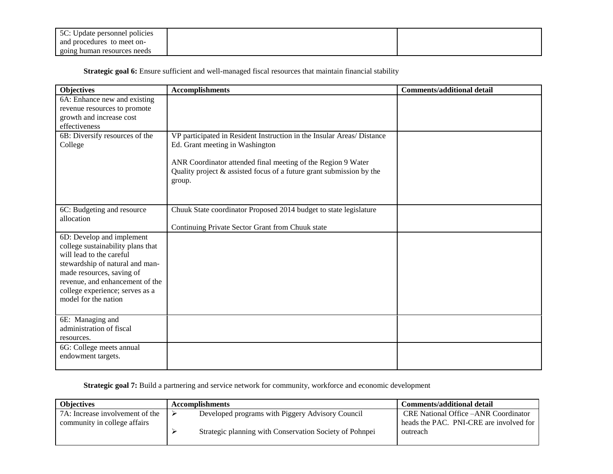| $\cdots$<br>$5C \cdot H$<br>' policies<br>personnel<br>Jpdate |  |
|---------------------------------------------------------------|--|
| to meet on-<br>and procedures                                 |  |
| e human resources needs<br>going                              |  |

Strategic goal 6: Ensure sufficient and well-managed fiscal resources that maintain financial stability

| <b>Objectives</b>                 | <b>Accomplishments</b>                                                 | <b>Comments/additional detail</b> |
|-----------------------------------|------------------------------------------------------------------------|-----------------------------------|
| 6A: Enhance new and existing      |                                                                        |                                   |
| revenue resources to promote      |                                                                        |                                   |
| growth and increase cost          |                                                                        |                                   |
| effectiveness                     |                                                                        |                                   |
| 6B: Diversify resources of the    | VP participated in Resident Instruction in the Insular Areas/ Distance |                                   |
| College                           | Ed. Grant meeting in Washington                                        |                                   |
|                                   |                                                                        |                                   |
|                                   | ANR Coordinator attended final meeting of the Region 9 Water           |                                   |
|                                   | Quality project & assisted focus of a future grant submission by the   |                                   |
|                                   | group.                                                                 |                                   |
|                                   |                                                                        |                                   |
|                                   |                                                                        |                                   |
| 6C: Budgeting and resource        | Chuuk State coordinator Proposed 2014 budget to state legislature      |                                   |
| allocation                        |                                                                        |                                   |
|                                   | Continuing Private Sector Grant from Chuuk state                       |                                   |
| 6D: Develop and implement         |                                                                        |                                   |
| college sustainability plans that |                                                                        |                                   |
| will lead to the careful          |                                                                        |                                   |
| stewardship of natural and man-   |                                                                        |                                   |
| made resources, saving of         |                                                                        |                                   |
| revenue, and enhancement of the   |                                                                        |                                   |
| college experience; serves as a   |                                                                        |                                   |
| model for the nation              |                                                                        |                                   |
|                                   |                                                                        |                                   |
| 6E: Managing and                  |                                                                        |                                   |
| administration of fiscal          |                                                                        |                                   |
| resources.                        |                                                                        |                                   |
| 6G: College meets annual          |                                                                        |                                   |
| endowment targets.                |                                                                        |                                   |
|                                   |                                                                        |                                   |

**Strategic goal 7:** Build a partnering and service network for community, workforce and economic development

| <b>Objectives</b>                                               | <b>Accomplishments</b>                                                                                      | Comments/additional detail                                                                          |
|-----------------------------------------------------------------|-------------------------------------------------------------------------------------------------------------|-----------------------------------------------------------------------------------------------------|
| 7A: Increase involvement of the<br>community in college affairs | Developed programs with Piggery Advisory Council<br>Strategic planning with Conservation Society of Pohnpei | <b>CRE National Office – ANR Coordinator</b><br>heads the PAC. PNI-CRE are involved for<br>outreach |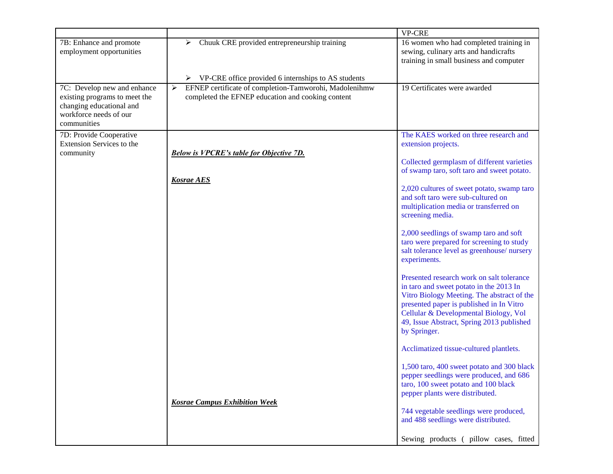|                                                                                                                                   |                                                                                                                                      | <b>VP-CRE</b>                                                                                                                                                                                                                                                                        |
|-----------------------------------------------------------------------------------------------------------------------------------|--------------------------------------------------------------------------------------------------------------------------------------|--------------------------------------------------------------------------------------------------------------------------------------------------------------------------------------------------------------------------------------------------------------------------------------|
| 7B: Enhance and promote<br>employment opportunities                                                                               | Chuuk CRE provided entrepreneurship training<br>➤                                                                                    | 16 women who had completed training in<br>sewing, culinary arts and handicrafts<br>training in small business and computer                                                                                                                                                           |
|                                                                                                                                   | $\triangleright$ VP-CRE office provided 6 internships to AS students                                                                 |                                                                                                                                                                                                                                                                                      |
| 7C: Develop new and enhance<br>existing programs to meet the<br>changing educational and<br>workforce needs of our<br>communities | EFNEP certificate of completion-Tamworohi, Madolenihmw<br>$\blacktriangleright$<br>completed the EFNEP education and cooking content | 19 Certificates were awarded                                                                                                                                                                                                                                                         |
| 7D: Provide Cooperative<br>Extension Services to the                                                                              |                                                                                                                                      | The KAES worked on three research and<br>extension projects.                                                                                                                                                                                                                         |
| community                                                                                                                         | <b>Below is VPCRE's table for Objective 7D.</b>                                                                                      |                                                                                                                                                                                                                                                                                      |
|                                                                                                                                   |                                                                                                                                      | Collected germplasm of different varieties<br>of swamp taro, soft taro and sweet potato.                                                                                                                                                                                             |
|                                                                                                                                   | <b>Kosrae AES</b>                                                                                                                    |                                                                                                                                                                                                                                                                                      |
|                                                                                                                                   |                                                                                                                                      | 2,020 cultures of sweet potato, swamp taro<br>and soft taro were sub-cultured on<br>multiplication media or transferred on<br>screening media.                                                                                                                                       |
|                                                                                                                                   |                                                                                                                                      | 2,000 seedlings of swamp taro and soft<br>taro were prepared for screening to study<br>salt tolerance level as greenhouse/nursery<br>experiments.                                                                                                                                    |
|                                                                                                                                   |                                                                                                                                      | Presented research work on salt tolerance<br>in taro and sweet potato in the 2013 In<br>Vitro Biology Meeting. The abstract of the<br>presented paper is published in In Vitro<br>Cellular & Developmental Biology, Vol<br>49, Issue Abstract, Spring 2013 published<br>by Springer. |
|                                                                                                                                   |                                                                                                                                      | Acclimatized tissue-cultured plantlets.                                                                                                                                                                                                                                              |
|                                                                                                                                   | <b>Kosrae Campus Exhibition Week</b>                                                                                                 | 1,500 taro, 400 sweet potato and 300 black<br>pepper seedlings were produced, and 686<br>taro, 100 sweet potato and 100 black<br>pepper plants were distributed.                                                                                                                     |
|                                                                                                                                   |                                                                                                                                      | 744 vegetable seedlings were produced,<br>and 488 seedlings were distributed.                                                                                                                                                                                                        |
|                                                                                                                                   |                                                                                                                                      | Sewing products (pillow cases, fitted                                                                                                                                                                                                                                                |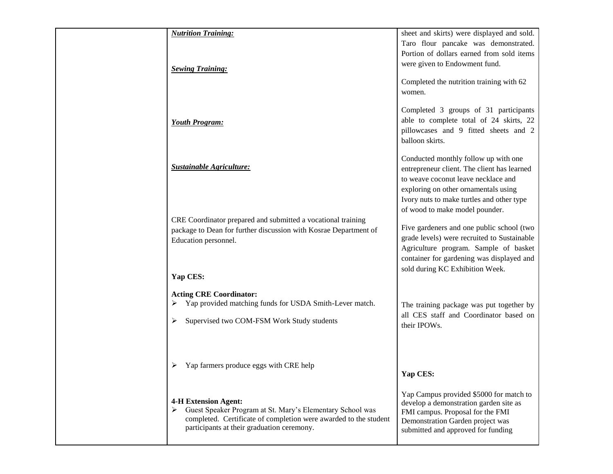| <b>Nutrition Training:</b>                                                                                                                                                                                   | sheet and skirts) were displayed and sold.                                                                                                                                                                        |
|--------------------------------------------------------------------------------------------------------------------------------------------------------------------------------------------------------------|-------------------------------------------------------------------------------------------------------------------------------------------------------------------------------------------------------------------|
| <b>Sewing Training:</b>                                                                                                                                                                                      | Taro flour pancake was demonstrated.<br>Portion of dollars earned from sold items<br>were given to Endowment fund.                                                                                                |
|                                                                                                                                                                                                              | Completed the nutrition training with 62<br>women.<br>Completed 3 groups of 31 participants<br>able to complete total of 24 skirts, 22                                                                            |
| <b>Youth Program:</b>                                                                                                                                                                                        | pillowcases and 9 fitted sheets and 2<br>balloon skirts.<br>Conducted monthly follow up with one                                                                                                                  |
| <b>Sustainable Agriculture:</b>                                                                                                                                                                              | entrepreneur client. The client has learned<br>to weave coconut leave necklace and<br>exploring on other ornamentals using<br>Ivory nuts to make turtles and other type<br>of wood to make model pounder.         |
| CRE Coordinator prepared and submitted a vocational training<br>package to Dean for further discussion with Kosrae Department of<br>Education personnel.                                                     | Five gardeners and one public school (two<br>grade levels) were recruited to Sustainable<br>Agriculture program. Sample of basket<br>container for gardening was displayed and<br>sold during KC Exhibition Week. |
| Yap CES:                                                                                                                                                                                                     |                                                                                                                                                                                                                   |
| <b>Acting CRE Coordinator:</b><br>Yap provided matching funds for USDA Smith-Lever match.<br>➤<br>Supervised two COM-FSM Work Study students                                                                 | The training package was put together by<br>all CES staff and Coordinator based on<br>their IPOWs.                                                                                                                |
| Yap farmers produce eggs with CRE help                                                                                                                                                                       | Yap CES:                                                                                                                                                                                                          |
| <b>4-H Extension Agent:</b><br>> Guest Speaker Program at St. Mary's Elementary School was<br>completed. Certificate of completion were awarded to the student<br>participants at their graduation ceremony. | Yap Campus provided \$5000 for match to<br>develop a demonstration garden site as<br>FMI campus. Proposal for the FMI<br>Demonstration Garden project was<br>submitted and approved for funding                   |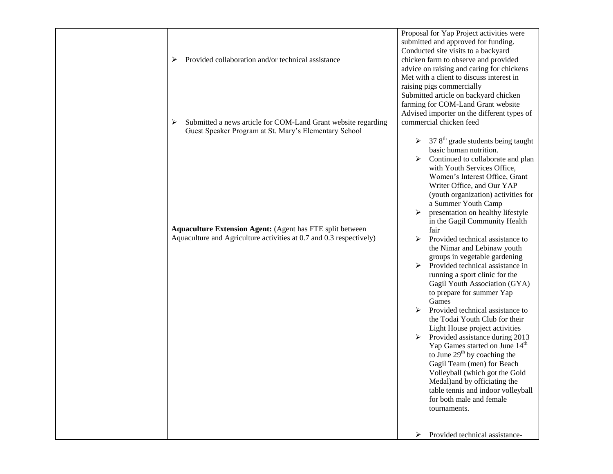| Provided collaboration and/or technical assistance<br>➤                                                                                 | Proposal for Yap Project activities were<br>submitted and approved for funding.<br>Conducted site visits to a backyard<br>chicken farm to observe and provided<br>advice on raising and caring for chickens<br>Met with a client to discuss interest in<br>raising pigs commercially                                                                                                                                                                                                                                                                                                                                                                                                                                                                                                                                                                                                                                                     |
|-----------------------------------------------------------------------------------------------------------------------------------------|------------------------------------------------------------------------------------------------------------------------------------------------------------------------------------------------------------------------------------------------------------------------------------------------------------------------------------------------------------------------------------------------------------------------------------------------------------------------------------------------------------------------------------------------------------------------------------------------------------------------------------------------------------------------------------------------------------------------------------------------------------------------------------------------------------------------------------------------------------------------------------------------------------------------------------------|
| Submitted a news article for COM-Land Grant website regarding<br>➤<br>Guest Speaker Program at St. Mary's Elementary School             | Submitted article on backyard chicken<br>farming for COM-Land Grant website<br>Advised importer on the different types of<br>commercial chicken feed<br>$378th$ grade students being taught                                                                                                                                                                                                                                                                                                                                                                                                                                                                                                                                                                                                                                                                                                                                              |
| <b>Aquaculture Extension Agent:</b> (Agent has FTE split between<br>Aquaculture and Agriculture activities at 0.7 and 0.3 respectively) | basic human nutrition.<br>Continued to collaborate and plan<br>≻<br>with Youth Services Office,<br>Women's Interest Office, Grant<br>Writer Office, and Our YAP<br>(youth organization) activities for<br>a Summer Youth Camp<br>presentation on healthy lifestyle<br>in the Gagil Community Health<br>fair<br>Provided technical assistance to<br>the Nimar and Lebinaw youth<br>groups in vegetable gardening<br>⋗<br>Provided technical assistance in<br>running a sport clinic for the<br>Gagil Youth Association (GYA)<br>to prepare for summer Yap<br>Games<br>⋗<br>Provided technical assistance to<br>the Todai Youth Club for their<br>Light House project activities<br>Provided assistance during 2013<br>Yap Games started on June 14 <sup>th</sup><br>to June $29th$ by coaching the<br>Gagil Team (men) for Beach<br>Volleyball (which got the Gold<br>Medal) and by officiating the<br>table tennis and indoor volleyball |
|                                                                                                                                         | for both male and female<br>tournaments.<br>➤<br>Provided technical assistance-                                                                                                                                                                                                                                                                                                                                                                                                                                                                                                                                                                                                                                                                                                                                                                                                                                                          |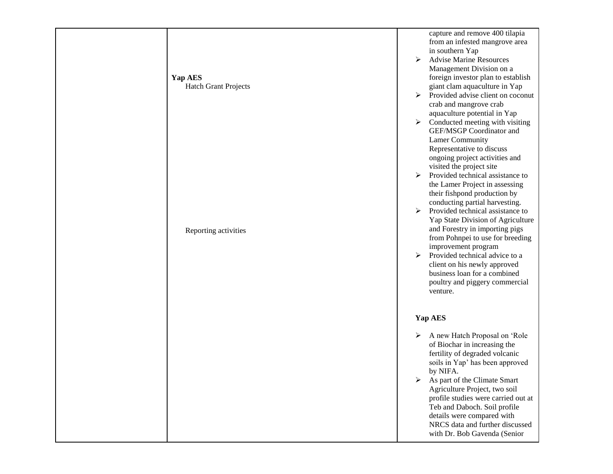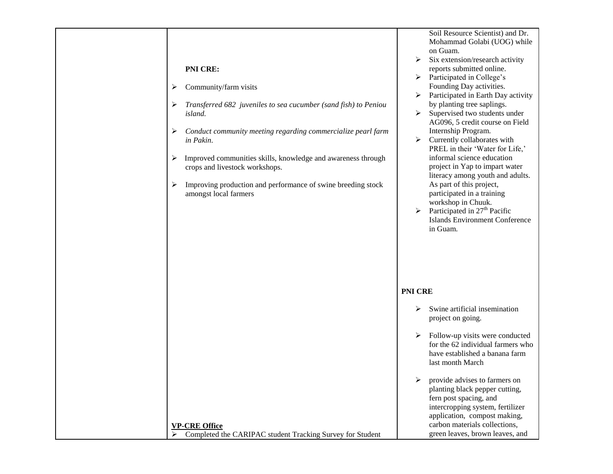| ➤<br>➤                | <b>PNI CRE:</b><br>Community/farm visits<br>Transferred 682 juveniles to sea cucumber (sand fish) to Peniou | Soil Resource Scientist) and Dr.<br>Mohammad Golabi (UOG) while<br>on Guam.<br>Six extension/research activity<br>➤<br>reports submitted online.<br>$\triangleright$ Participated in College's<br>Founding Day activities.<br>$\triangleright$ Participated in Earth Day activity<br>by planting tree saplings. |
|-----------------------|-------------------------------------------------------------------------------------------------------------|-----------------------------------------------------------------------------------------------------------------------------------------------------------------------------------------------------------------------------------------------------------------------------------------------------------------|
| ➤                     | island.<br>Conduct community meeting regarding commercialize pearl farm<br>in Pakin.                        | Supervised two students under<br>➤<br>AG096, 5 credit course on Field<br>Internship Program.<br>Currently collaborates with<br>≻                                                                                                                                                                                |
| ➤                     | Improved communities skills, knowledge and awareness through<br>crops and livestock workshops.              | PREL in their 'Water for Life,'<br>informal science education<br>project in Yap to impart water<br>literacy among youth and adults.                                                                                                                                                                             |
| ➤                     | Improving production and performance of swine breeding stock<br>amongst local farmers                       | As part of this project,<br>participated in a training<br>workshop in Chuuk.<br>Participated in 27 <sup>th</sup> Pacific<br>$\blacktriangleright$<br><b>Islands Environment Conference</b><br>in Guam.                                                                                                          |
|                       |                                                                                                             | <b>PNI CRE</b>                                                                                                                                                                                                                                                                                                  |
|                       |                                                                                                             | Swine artificial insemination<br>➤<br>project on going.                                                                                                                                                                                                                                                         |
|                       |                                                                                                             | Follow-up visits were conducted<br>➤<br>for the 62 individual farmers who<br>have established a banana farm<br>last month March                                                                                                                                                                                 |
| $\blacktriangleright$ | <b>VP-CRE Office</b><br>Completed the CARIPAC student Tracking Survey for Student                           | provide advises to farmers on<br>➤<br>planting black pepper cutting,<br>fern post spacing, and<br>intercropping system, fertilizer<br>application, compost making,<br>carbon materials collections,<br>green leaves, brown leaves, and                                                                          |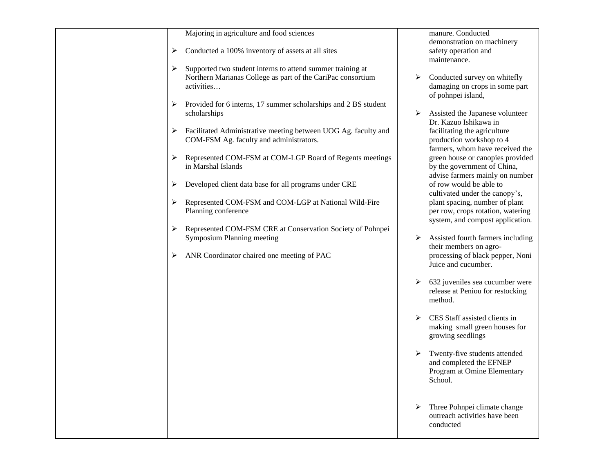| Majoring in agriculture and food sciences                           |   | manure. Conducted<br>demonstration on machinery            |
|---------------------------------------------------------------------|---|------------------------------------------------------------|
| Conducted a 100% inventory of assets at all sites                   |   |                                                            |
| ➤                                                                   |   | safety operation and<br>maintenance.                       |
| Supported two student interns to attend summer training at<br>➤     |   |                                                            |
| Northern Marianas College as part of the CariPac consortium         | ➤ | Conducted survey on whitefly                               |
| activities                                                          |   | damaging on crops in some part                             |
|                                                                     |   | of pohnpei island,                                         |
| Provided for 6 interns, 17 summer scholarships and 2 BS student     |   |                                                            |
| scholarships                                                        | ➤ | Assisted the Japanese volunteer                            |
|                                                                     |   | Dr. Kazuo Ishikawa in                                      |
| Facilitated Administrative meeting between UOG Ag. faculty and<br>➤ |   | facilitating the agriculture                               |
| COM-FSM Ag. faculty and administrators.                             |   | production workshop to 4                                   |
|                                                                     |   | farmers, whom have received the                            |
| Represented COM-FSM at COM-LGP Board of Regents meetings<br>➤       |   | green house or canopies provided                           |
| in Marshal Islands                                                  |   | by the government of China,                                |
|                                                                     |   | advise farmers mainly on number<br>of row would be able to |
| Developed client data base for all programs under CRE<br>➤          |   | cultivated under the canopy's,                             |
| Represented COM-FSM and COM-LGP at National Wild-Fire               |   | plant spacing, number of plant                             |
| Planning conference                                                 |   | per row, crops rotation, watering                          |
|                                                                     |   | system, and compost application.                           |
| Represented COM-FSM CRE at Conservation Society of Pohnpei<br>➤     |   |                                                            |
| Symposium Planning meeting                                          | ➤ | Assisted fourth farmers including                          |
|                                                                     |   | their members on agro-                                     |
| ANR Coordinator chaired one meeting of PAC<br>➤                     |   | processing of black pepper, Noni                           |
|                                                                     |   | Juice and cucumber.                                        |
|                                                                     |   |                                                            |
|                                                                     | ➤ | 632 juveniles sea cucumber were                            |
|                                                                     |   | release at Peniou for restocking                           |
|                                                                     |   | method.                                                    |
|                                                                     | ➤ | CES Staff assisted clients in                              |
|                                                                     |   | making small green houses for                              |
|                                                                     |   | growing seedlings                                          |
|                                                                     |   |                                                            |
|                                                                     | ➤ | Twenty-five students attended                              |
|                                                                     |   | and completed the EFNEP                                    |
|                                                                     |   | Program at Omine Elementary                                |
|                                                                     |   | School.                                                    |
|                                                                     |   |                                                            |
|                                                                     |   |                                                            |
|                                                                     | ➤ | Three Pohnpei climate change                               |
|                                                                     |   | outreach activities have been<br>conducted                 |
|                                                                     |   |                                                            |
|                                                                     |   |                                                            |